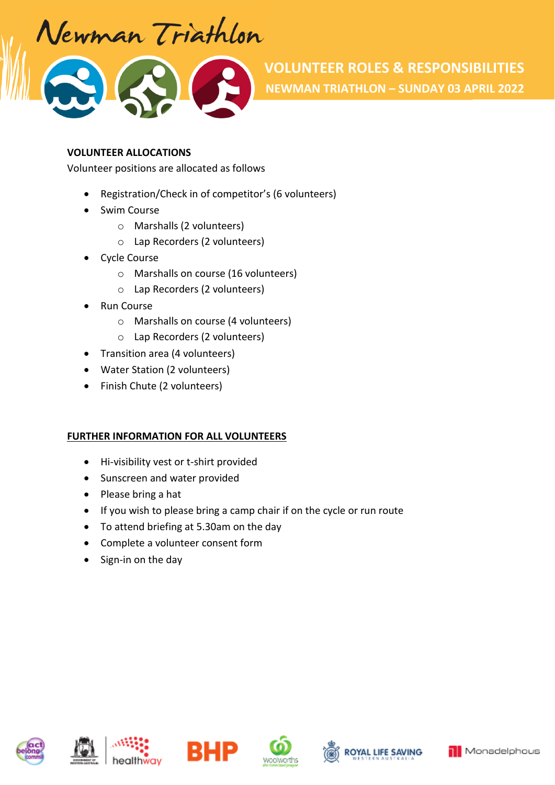Vewman Triathlon

#### **VOLUNTEER ALLOCATIONS**

Volunteer positions are allocated as follows

- Registration/Check in of competitor's (6 volunteers)
- Swim Course
	- o Marshalls (2 volunteers)
	- o Lap Recorders (2 volunteers)
- Cycle Course
	- o Marshalls on course (16 volunteers)
	- o Lap Recorders (2 volunteers)
- Run Course
	- o Marshalls on course (4 volunteers)
	- o Lap Recorders (2 volunteers)
- Transition area (4 volunteers)
- Water Station (2 volunteers)
- Finish Chute (2 volunteers)

### **FURTHER INFORMATION FOR ALL VOLUNTEERS**

- Hi-visibility vest or t-shirt provided
- Sunscreen and water provided
- Please bring a hat
- If you wish to please bring a camp chair if on the cycle or run route
- To attend briefing at 5.30am on the day
- Complete a volunteer consent form
- Sign-in on the day













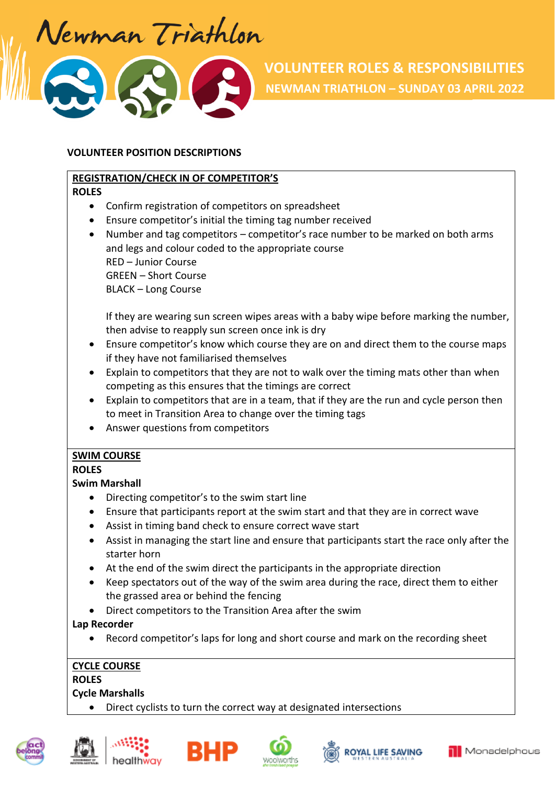Vewman Triathlon

### **VOLUNTEER POSITION DESCRIPTIONS**

### **REGISTRATION/CHECK IN OF COMPETITOR'S**

#### **ROLES**

- Confirm registration of competitors on spreadsheet
- Ensure competitor's initial the timing tag number received
- Number and tag competitors competitor's race number to be marked on both arms and legs and colour coded to the appropriate course RED – Junior Course GREEN – Short Course BLACK – Long Course

If they are wearing sun screen wipes areas with a baby wipe before marking the number, then advise to reapply sun screen once ink is dry

- Ensure competitor's know which course they are on and direct them to the course maps if they have not familiarised themselves
- Explain to competitors that they are not to walk over the timing mats other than when competing as this ensures that the timings are correct
- Explain to competitors that are in a team, that if they are the run and cycle person then to meet in Transition Area to change over the timing tags
- Answer questions from competitors

# **SWIM COURSE**

### **ROLES**

### **Swim Marshall**

- Directing competitor's to the swim start line
- Ensure that participants report at the swim start and that they are in correct wave
- Assist in timing band check to ensure correct wave start
- Assist in managing the start line and ensure that participants start the race only after the starter horn
- At the end of the swim direct the participants in the appropriate direction
- Keep spectators out of the way of the swim area during the race, direct them to either the grassed area or behind the fencing
- Direct competitors to the Transition Area after the swim

### **Lap Recorder**

Record competitor's laps for long and short course and mark on the recording sheet

### **CYCLE COURSE**

### **ROLES**

# **Cycle Marshalls**

Direct cyclists to turn the correct way at designated intersections











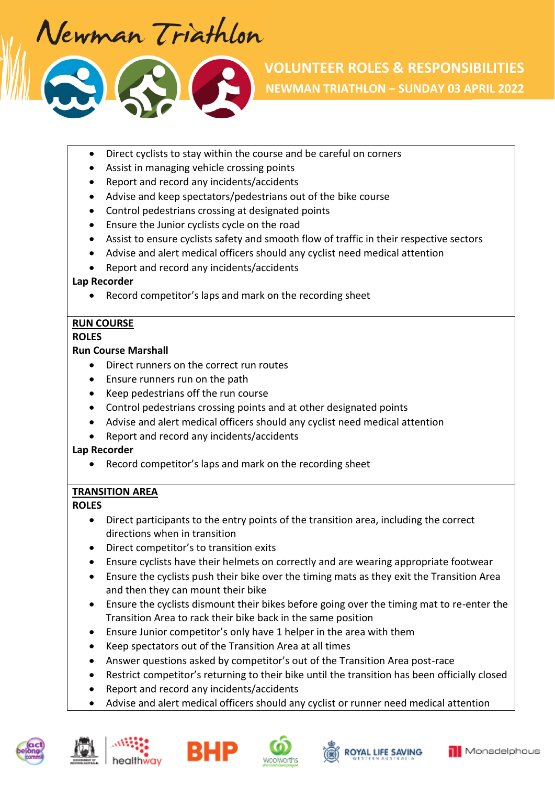Vewman Triathlon

- Direct cyclists to stay within the course and be careful on corners
- Assist in managing vehicle crossing points
- Report and record any incidents/accidents
- Advise and keep spectators/pedestrians out of the bike course
- Control pedestrians crossing at designated points
- Ensure the Junior cyclists cycle on the road
- Assist to ensure cyclists safety and smooth flow of traffic in their respective sectors
- Advise and alert medical officers should any cyclist need medical attention
- Report and record any incidents/accidents

### **Lap Recorder**

Record competitor's laps and mark on the recording sheet

# **RUN COURSE**

### **ROLES**

### **Run Course Marshall**

- Direct runners on the correct run routes
- Ensure runners run on the path
- Keep pedestrians off the run course
- Control pedestrians crossing points and at other designated points
- Advise and alert medical officers should any cyclist need medical attention
- Report and record any incidents/accidents

### **Lap Recorder**

Record competitor's laps and mark on the recording sheet

# **TRANSITION AREA**

### **ROLES**

- Direct participants to the entry points of the transition area, including the correct directions when in transition
- Direct competitor's to transition exits
- Ensure cyclists have their helmets on correctly and are wearing appropriate footwear
- Ensure the cyclists push their bike over the timing mats as they exit the Transition Area and then they can mount their bike
- Ensure the cyclists dismount their bikes before going over the timing mat to re-enter the Transition Area to rack their bike back in the same position
- Ensure Junior competitor's only have 1 helper in the area with them
- Keep spectators out of the Transition Area at all times
- Answer questions asked by competitor's out of the Transition Area post-race
- Restrict competitor's returning to their bike until the transition has been officially closed
- Report and record any incidents/accidents
- Advise and alert medical officers should any cyclist or runner need medical attention